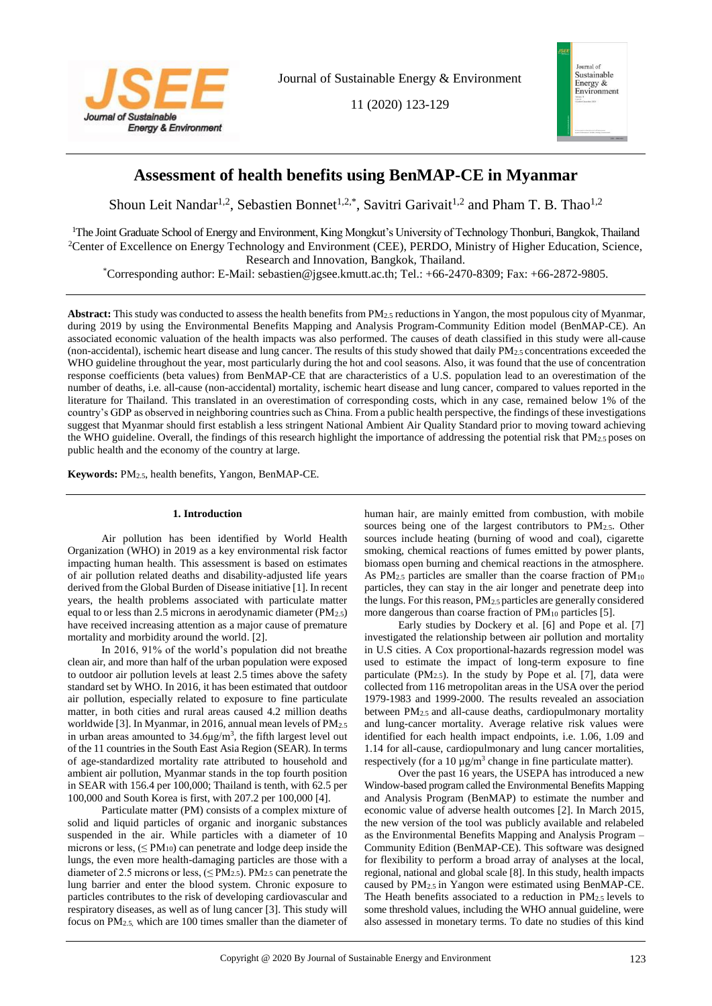

Journal of Sustainable Energy & Environment

11 (2020) 123-129



# **Assessment of health benefits using BenMAP-CE in Myanmar**

Shoun Leit Nandar<sup>1,2</sup>, Sebastien Bonnet<sup>1,2,\*</sup>, Savitri Garivait<sup>1,2</sup> and Pham T. B. Thao<sup>1,2</sup>

<sup>1</sup>The Joint Graduate School of Energy and Environment, King Mongkut's University of Technology Thonburi, Bangkok, Thailand <sup>2</sup>Center of Excellence on Energy Technology and Environment (CEE), PERDO, Ministry of Higher Education, Science, Research and Innovation, Bangkok, Thailand.

\*Corresponding author: E-Mail: sebastien@jgsee.kmutt.ac.th; Tel.: +66-2470-8309; Fax: +66-2872-9805.

**Abstract:** This study was conducted to assess the health benefits from PM2.5 reductions in Yangon, the most populous city of Myanmar, during 2019 by using the Environmental Benefits Mapping and Analysis Program-Community Edition model (BenMAP-CE). An associated economic valuation of the health impacts was also performed. The causes of death classified in this study were all-cause (non-accidental), ischemic heart disease and lung cancer. The results of this study showed that daily PM2.5 concentrations exceeded the WHO guideline throughout the year, most particularly during the hot and cool seasons. Also, it was found that the use of concentration response coefficients (beta values) from BenMAP-CE that are characteristics of a U.S. population lead to an overestimation of the number of deaths, i.e. all-cause (non-accidental) mortality, ischemic heart disease and lung cancer, compared to values reported in the literature for Thailand. This translated in an overestimation of corresponding costs, which in any case, remained below 1% of the country's GDP as observed in neighboring countries such as China. From a public health perspective, the findings of these investigations suggest that Myanmar should first establish a less stringent National Ambient Air Quality Standard prior to moving toward achieving the WHO guideline. Overall, the findings of this research highlight the importance of addressing the potential risk that PM2.5 poses on public health and the economy of the country at large.

**Keywords:** PM2.5, health benefits, Yangon, BenMAP-CE.

## **1. Introduction**

Air pollution has been identified by World Health Organization (WHO) in 2019 as a key environmental risk factor impacting human health. This assessment is based on estimates of air pollution related deaths and disability-adjusted life years derived from the Global Burden of Disease initiative [1]. In recent years, the health problems associated with particulate matter equal to or less than 2.5 microns in aerodynamic diameter  $(PM<sub>2.5</sub>)$ have received increasing attention as a major cause of premature mortality and morbidity around the world. [2].

In 2016, 91% of the world's population did not breathe clean air, and more than half of the urban population were exposed to outdoor air pollution levels at least 2.5 times above the safety standard set by WHO. In 2016, it has been estimated that outdoor air pollution, especially related to exposure to fine particulate matter, in both cities and rural areas caused 4.2 million deaths worldwide [3]. In Myanmar, in 2016, annual mean levels of PM<sub>2.5</sub> in urban areas amounted to  $34.6\mu g/m^3$ , the fifth largest level out of the 11 countries in the South East Asia Region (SEAR). In terms of age-standardized mortality rate attributed to household and ambient air pollution, Myanmar stands in the top fourth position in SEAR with 156.4 per 100,000; Thailand is tenth, with 62.5 per 100,000 and South Korea is first, with 207.2 per 100,000 [4].

Particulate matter (PM) consists of a complex mixture of solid and liquid particles of organic and inorganic substances suspended in the air. While particles with a diameter of 10 microns or less,  $(\leq PM_{10})$  can penetrate and lodge deep inside the lungs, the even more health-damaging particles are those with a diameter of 2.5 microns or less,  $(\leq PM_{2.5})$ . PM<sub>2.5</sub> can penetrate the lung barrier and enter the blood system. Chronic exposure to particles contributes to the risk of developing cardiovascular and respiratory diseases, as well as of lung cancer [3]. This study will focus on PM2.5, which are 100 times smaller than the diameter of human hair, are mainly emitted from combustion, with mobile sources being one of the largest contributors to PM2.5. Other sources include heating (burning of wood and coal), cigarette smoking, chemical reactions of fumes emitted by power plants, biomass open burning and chemical reactions in the atmosphere. As PM2.5 particles are smaller than the coarse fraction of PM<sup>10</sup> particles, they can stay in the air longer and penetrate deep into the lungs. For this reason, PM2.5 particles are generally considered more dangerous than coarse fraction of PM10 particles [5].

Early studies by Dockery et al. [6] and Pope et al. [7] investigated the relationship between air pollution and mortality in U.S cities. A Cox proportional-hazards regression model was used to estimate the impact of long-term exposure to fine particulate  $(PM_{2.5})$ . In the study by Pope et al. [7], data were collected from 116 metropolitan areas in the USA over the period 1979-1983 and 1999-2000. The results revealed an association between PM2.5 and all-cause deaths, cardiopulmonary mortality and lung-cancer mortality. Average relative risk values were identified for each health impact endpoints, i.e. 1.06, 1.09 and 1.14 for all-cause, cardiopulmonary and lung cancer mortalities, respectively (for a 10  $\mu$ g/m<sup>3</sup> change in fine particulate matter).

Over the past 16 years, the USEPA has introduced a new Window-based program called the Environmental Benefits Mapping and Analysis Program (BenMAP) to estimate the number and economic value of adverse health outcomes [2]. In March 2015, the new version of the tool was publicly available and relabeled as the Environmental Benefits Mapping and Analysis Program – Community Edition (BenMAP-CE). This software was designed for flexibility to perform a broad array of analyses at the local, regional, national and global scale [8]. In this study, health impacts caused by PM2.5 in Yangon were estimated using BenMAP-CE. The Heath benefits associated to a reduction in PM2.5 levels to some threshold values, including the WHO annual guideline, were also assessed in monetary terms. To date no studies of this kind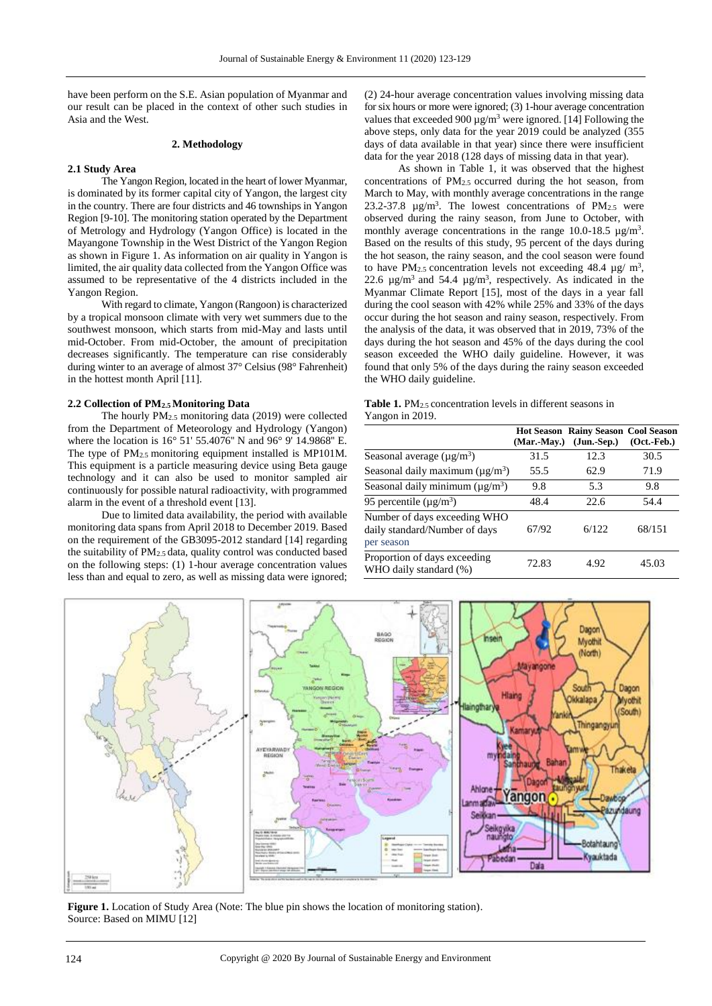have been perform on the S.E. Asian population of Myanmar and our result can be placed in the context of other such studies in Asia and the West.

## **2. Methodology**

## **2.1 Study Area**

The Yangon Region, located in the heart of lower Myanmar, is dominated by its former capital city of Yangon, the largest city in the country. There are four districts and 46 townships in Yangon Region [9-10]. The monitoring station operated by the Department of Metrology and Hydrology (Yangon Office) is located in the Mayangone Township in the West District of the Yangon Region as shown in Figure 1. As information on air quality in Yangon is limited, the air quality data collected from the Yangon Office was assumed to be representative of the 4 districts included in the Yangon Region.

With regard to climate, Yangon (Rangoon) is characterized by a tropical monsoon climate with very wet summers due to the southwest monsoon, which starts from mid-May and lasts until mid-October. From mid-October, the amount of precipitation decreases significantly. The temperature can rise considerably during winter to an average of almost 37° Celsius (98° Fahrenheit) in the hottest month April [11].

## **2.2 Collection of PM2.5 Monitoring Data**

The hourly PM2.5 monitoring data (2019) were collected from the Department of Meteorology and Hydrology (Yangon) where the location is 16° 51' 55.4076'' N and 96° 9' 14.9868'' E. The type of PM2.5 monitoring equipment installed is MP101M. This equipment is a particle measuring device using Beta gauge technology and it can also be used to monitor sampled air continuously for possible natural radioactivity, with programmed alarm in the event of a threshold event [13].

Due to limited data availability, the period with available monitoring data spans from April 2018 to December 2019. Based on the requirement of the GB3095-2012 standard [14] regarding the suitability of PM2.5 data, quality control was conducted based on the following steps: (1) 1-hour average concentration values less than and equal to zero, as well as missing data were ignored;

(2) 24-hour average concentration values involving missing data for six hours or more were ignored; (3) 1-hour average concentration values that exceeded  $900 \,\mathrm{\upmu g/m^3}$  were ignored. [14] Following the above steps, only data for the year 2019 could be analyzed (355 days of data available in that year) since there were insufficient data for the year 2018 (128 days of missing data in that year).

As shown in Table 1, it was observed that the highest concentrations of PM2.5 occurred during the hot season, from March to May, with monthly average concentrations in the range 23.2-37.8  $\mu$ g/m<sup>3</sup>. The lowest concentrations of PM<sub>2.5</sub> were observed during the rainy season, from June to October, with monthly average concentrations in the range  $10.0\n-18.5 \text{ µg/m}^3$ . Based on the results of this study, 95 percent of the days during the hot season, the rainy season, and the cool season were found to have PM<sub>2.5</sub> concentration levels not exceeding 48.4  $\mu$ g/ m<sup>3</sup>, 22.6  $\mu$ g/m<sup>3</sup> and 54.4  $\mu$ g/m<sup>3</sup>, respectively. As indicated in the Myanmar Climate Report [15], most of the days in a year fall during the cool season with 42% while 25% and 33% of the days occur during the hot season and rainy season, respectively. From the analysis of the data, it was observed that in 2019, 73% of the days during the hot season and 45% of the days during the cool season exceeded the WHO daily guideline. However, it was found that only 5% of the days during the rainy season exceeded the WHO daily guideline.

| <b>Table 1.</b> PM <sub>2.5</sub> concentration levels in different seasons in |  |
|--------------------------------------------------------------------------------|--|
| Yangon in 2019.                                                                |  |

|                                                                             | (Mar.-May.) | Hot Season Rainy Season Cool Season<br>$(Jun.-Sep.)$ | $(Oct. - Feb.)$ |
|-----------------------------------------------------------------------------|-------------|------------------------------------------------------|-----------------|
| Seasonal average $(\mu g/m^3)$                                              | 31.5        | 12.3                                                 | 30.5            |
| Seasonal daily maximum ( $\mu$ g/m <sup>3</sup> )                           | 55.5        | 62.9                                                 | 71.9            |
| Seasonal daily minimum ( $\mu$ g/m <sup>3</sup> )                           | 9.8         | 5.3                                                  | 9.8             |
| 95 percentile ( $\mu$ g/m <sup>3</sup> )                                    | 48.4        | 22.6                                                 | 54.4            |
| Number of days exceeding WHO<br>daily standard/Number of days<br>per season | 67/92       | 6/122                                                | 68/151          |
| Proportion of days exceeding<br>WHO daily standard (%)                      | 72.83       | 4.92                                                 | 45.03           |



**Figure 1.** Location of Study Area (Note: The blue pin shows the location of monitoring station). Source: Based on MIMU [12]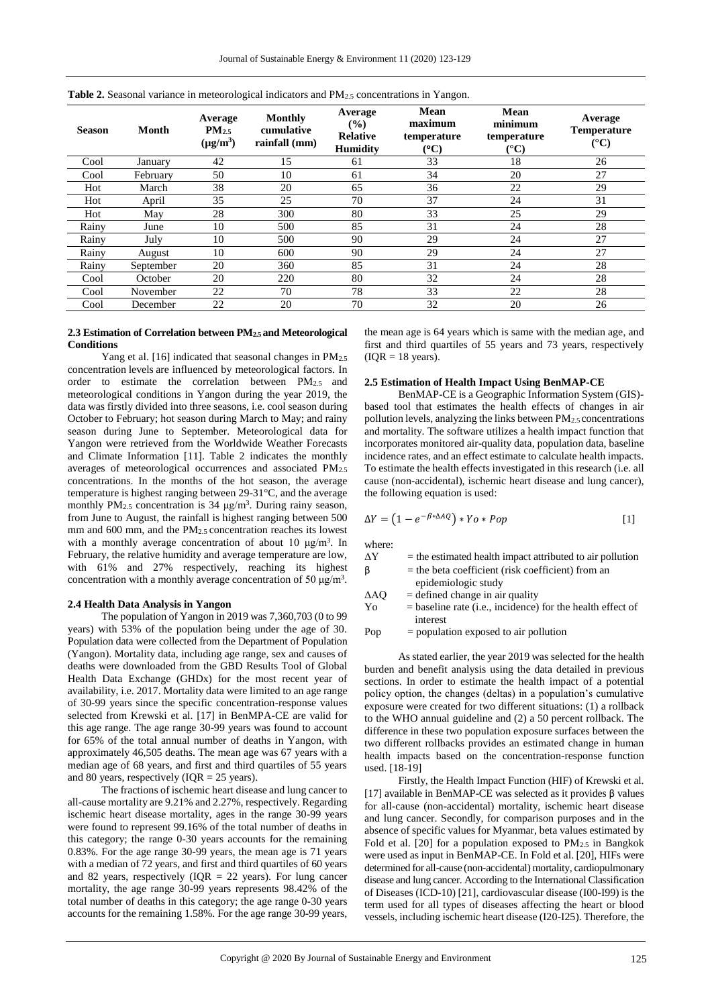| <b>Season</b> | Month     | Average<br>PM <sub>2.5</sub><br>$(\mu g/m^3)$ | Monthly<br>cumulative<br>rainfall (mm) | Average<br>(%)<br><b>Relative</b><br><b>Humidity</b> | <b>Mean</b><br>maximum<br>temperature<br>$\rm ^{(o}C)$ | Mean<br>minimum<br>temperature<br>$({}^{\circ}{\rm C})$ | Average<br><b>Temperature</b><br>$({}^{\circ}C)$ |
|---------------|-----------|-----------------------------------------------|----------------------------------------|------------------------------------------------------|--------------------------------------------------------|---------------------------------------------------------|--------------------------------------------------|
| Cool          | January   | 42                                            | 15                                     | 61                                                   | 33                                                     | 18                                                      | 26                                               |
| Cool          | February  | 50                                            | 10                                     | 61                                                   | 34                                                     | 20                                                      | 27                                               |
| Hot           | March     | 38                                            | 20                                     | 65                                                   | 36                                                     | 22                                                      | 29                                               |
| Hot           | April     | 35                                            | 25                                     | 70                                                   | 37                                                     | 24                                                      | 31                                               |
| Hot           | May       | 28                                            | 300                                    | 80                                                   | 33                                                     | 25                                                      | 29                                               |
| Rainy         | June      | 10                                            | 500                                    | 85                                                   | 31                                                     | 24                                                      | 28                                               |
| Rainy         | July      | 10                                            | 500                                    | 90                                                   | 29                                                     | 24                                                      | 27                                               |
| Rainy         | August    | 10                                            | 600                                    | 90                                                   | 29                                                     | 24                                                      | 27                                               |
| Rainy         | September | 20                                            | 360                                    | 85                                                   | 31                                                     | 24                                                      | 28                                               |
| Cool          | October   | 20                                            | 220                                    | 80                                                   | 32                                                     | 24                                                      | 28                                               |
| Cool          | November  | 22                                            | 70                                     | 78                                                   | 33                                                     | 22                                                      | 28                                               |
| Cool          | December  | 22                                            | 20                                     | 70                                                   | 32                                                     | 20                                                      | 26                                               |

| <b>Table 2.</b> Seasonal variance in meteorological indicators and $PM_{2.5}$ concentrations in Yangon. |  |  |  |  |  |  |
|---------------------------------------------------------------------------------------------------------|--|--|--|--|--|--|
|---------------------------------------------------------------------------------------------------------|--|--|--|--|--|--|

## **2.3 Estimation of Correlation between PM2.5 and Meteorological Conditions**

Yang et al. [16] indicated that seasonal changes in PM<sub>2.5</sub> concentration levels are influenced by meteorological factors. In order to estimate the correlation between PM2.5 and meteorological conditions in Yangon during the year 2019, the data was firstly divided into three seasons, i.e. cool season during October to February; hot season during March to May; and rainy season during June to September. Meteorological data for Yangon were retrieved from the Worldwide Weather Forecasts and Climate Information [11]. Table 2 indicates the monthly averages of meteorological occurrences and associated PM2.5 concentrations. In the months of the hot season, the average temperature is highest ranging between 29-31°C, and the average monthly  $PM_{2.5}$  concentration is 34  $\mu$ g/m<sup>3</sup>. During rainy season, from June to August, the rainfall is highest ranging between 500 mm and 600 mm, and the PM2.5 concentration reaches its lowest with a monthly average concentration of about 10  $\mu$ g/m<sup>3</sup>. In February, the relative humidity and average temperature are low, with 61% and 27% respectively, reaching its highest concentration with a monthly average concentration of 50  $\mu$ g/m<sup>3</sup>.

#### **2.4 Health Data Analysis in Yangon**

The population of Yangon in 2019 was 7,360,703 (0 to 99 years) with 53% of the population being under the age of 30. Population data were collected from the Department of Population (Yangon). Mortality data, including age range, sex and causes of deaths were downloaded from the GBD Results Tool of Global Health Data Exchange (GHDx) for the most recent year of availability, i.e. 2017. Mortality data were limited to an age range of 30-99 years since the specific concentration-response values selected from Krewski et al. [17] in BenMPA-CE are valid for this age range. The age range 30-99 years was found to account for 65% of the total annual number of deaths in Yangon, with approximately 46,505 deaths. The mean age was 67 years with a median age of 68 years, and first and third quartiles of 55 years and 80 years, respectively  $(IQR = 25$  years).

The fractions of ischemic heart disease and lung cancer to all-cause mortality are 9.21% and 2.27%, respectively. Regarding ischemic heart disease mortality, ages in the range 30-99 years were found to represent 99.16% of the total number of deaths in this category; the range 0-30 years accounts for the remaining 0.83%. For the age range 30-99 years, the mean age is 71 years with a median of 72 years, and first and third quartiles of 60 years and 82 years, respectively ( $IQR = 22$  years). For lung cancer mortality, the age range 30-99 years represents 98.42% of the total number of deaths in this category; the age range 0-30 years accounts for the remaining 1.58%. For the age range 30-99 years,

the mean age is 64 years which is same with the median age, and first and third quartiles of 55 years and 73 years, respectively  $(IQR = 18 \text{ years}).$ 

#### **2.5 Estimation of Health Impact Using BenMAP-CE**

BenMAP-CE is a Geographic Information System (GIS) based tool that estimates the health effects of changes in air pollution levels, analyzing the links between PM2.5 concentrations and mortality. The software utilizes a health impact function that incorporates monitored air-quality data, population data, baseline incidence rates, and an effect estimate to calculate health impacts. To estimate the health effects investigated in this research (i.e. all cause (non-accidental), ischemic heart disease and lung cancer), the following equation is used:

$$
\Delta Y = (1 - e^{-\beta * \Delta AQ}) * Yo * Pop
$$
 [1]

where:

| ΛY | $=$ the estimated health impact attributed to air pollution |
|----|-------------------------------------------------------------|
|    | $=$ the beta coefficient (risk coefficient) from an         |

- epidemiologic study
- $\Delta AQ$  = defined change in air quality
- Yo = baseline rate (i.e., incidence) for the health effect of interest

Pop = population exposed to air pollution

As stated earlier, the year 2019 was selected for the health burden and benefit analysis using the data detailed in previous sections. In order to estimate the health impact of a potential policy option, the changes (deltas) in a population's cumulative exposure were created for two different situations: (1) a rollback to the WHO annual guideline and (2) a 50 percent rollback. The difference in these two population exposure surfaces between the two different rollbacks provides an estimated change in human health impacts based on the concentration-response function used. [18-19]

Firstly, the Health Impact Function (HIF) of Krewski et al. [17] available in BenMAP-CE was selected as it provides β values for all-cause (non-accidental) mortality, ischemic heart disease and lung cancer. Secondly, for comparison purposes and in the absence of specific values for Myanmar, beta values estimated by Fold et al. [20] for a population exposed to  $PM_{2.5}$  in Bangkok were used as input in BenMAP-CE. In Fold et al. [20], HIFs were determined for all-cause (non-accidental) mortality, cardiopulmonary disease and lung cancer. According to the International Classification of Diseases (ICD-10) [21], cardiovascular disease (I00-I99) is the term used for all types of diseases affecting the heart or blood vessels, including ischemic heart disease (I20-I25). Therefore, the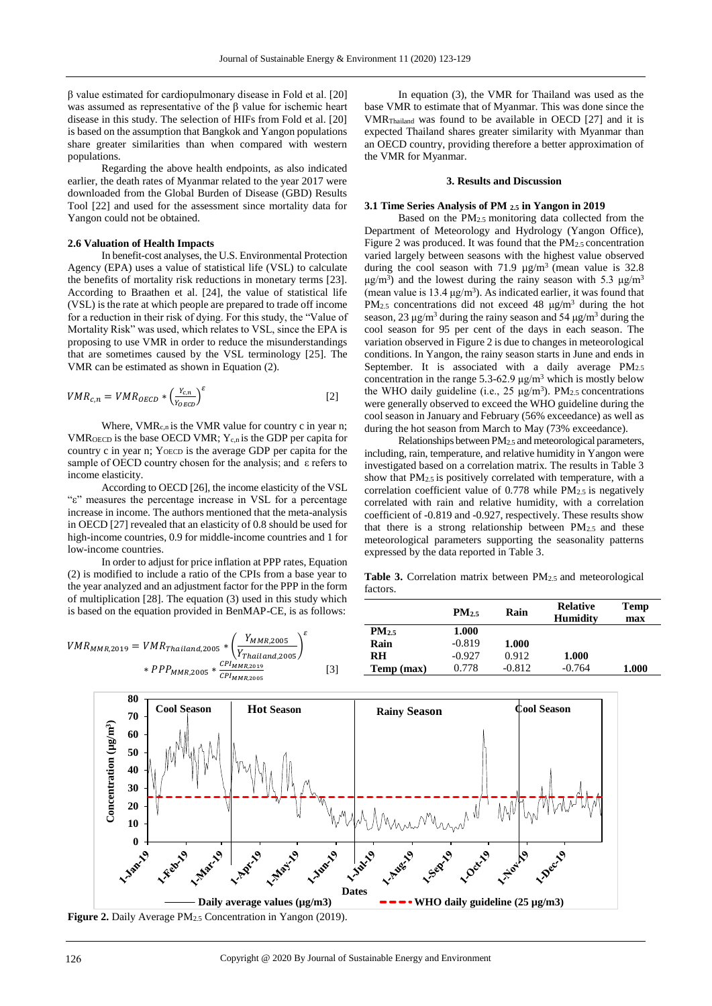β value estimated for cardiopulmonary disease in Fold et al. [20] was assumed as representative of the β value for ischemic heart disease in this study. The selection of HIFs from Fold et al. [20] is based on the assumption that Bangkok and Yangon populations share greater similarities than when compared with western populations.

Regarding the above health endpoints, as also indicated earlier, the death rates of Myanmar related to the year 2017 were downloaded from the Global Burden of Disease (GBD) Results Tool [22] and used for the assessment since mortality data for Yangon could not be obtained.

#### **2.6 Valuation of Health Impacts**

In benefit-cost analyses, the U.S. Environmental Protection Agency (EPA) uses a value of statistical life (VSL) to calculate the benefits of mortality risk reductions in monetary terms [23]. According to Braathen et al. [24], the value of statistical life (VSL) is the rate at which people are prepared to trade off income for a reduction in their risk of dying. For this study, the "Value of Mortality Risk" was used, which relates to VSL, since the EPA is proposing to use VMR in order to reduce the misunderstandings that are sometimes caused by the VSL terminology [25]. The VMR can be estimated as shown in Equation (2).

$$
VMR_{c,n} = VMR_{OECD} * \left(\frac{Y_{c,n}}{Y_{OECD}}\right)^{\varepsilon}
$$
 [2]

Where,  $VMR_{c,n}$  is the VMR value for country c in year n; VMR<sub>OECD</sub> is the base OECD VMR;  $Y_{c,n}$  is the GDP per capita for country c in year n; YOECD is the average GDP per capita for the sample of OECD country chosen for the analysis; and ε refers to income elasticity.

According to OECD [26], the income elasticity of the VSL "ε" measures the percentage increase in VSL for a percentage increase in income. The authors mentioned that the meta-analysis in OECD [27] revealed that an elasticity of 0.8 should be used for high-income countries, 0.9 for middle-income countries and 1 for low-income countries.

In order to adjust for price inflation at PPP rates, Equation (2) is modified to include a ratio of the CPIs from a base year to the year analyzed and an adjustment factor for the PPP in the form of multiplication [28]. The equation (3) used in this study which is based on the equation provided in BenMAP-CE, is as follows:

In equation (3), the VMR for Thailand was used as the base VMR to estimate that of Myanmar. This was done since the VMRThailand was found to be available in OECD [27] and it is expected Thailand shares greater similarity with Myanmar than an OECD country, providing therefore a better approximation of the VMR for Myanmar.

## **3. Results and Discussion**

# **3.1 Time Series Analysis of PM 2.5 in Yangon in 2019**

Based on the PM2.5 monitoring data collected from the Department of Meteorology and Hydrology (Yangon Office), Figure 2 was produced. It was found that the PM<sub>2.5</sub> concentration varied largely between seasons with the highest value observed during the cool season with 71.9  $\mu$ g/m<sup>3</sup> (mean value is 32.8)  $\mu$ g/m<sup>3</sup>) and the lowest during the rainy season with 5.3  $\mu$ g/m<sup>3</sup> (mean value is 13.4  $\mu$ g/m<sup>3</sup>). As indicated earlier, it was found that PM<sub>2.5</sub> concentrations did not exceed 48  $\mu$ g/m<sup>3</sup> during the hot season, 23  $\mu$ g/m<sup>3</sup> during the rainy season and 54  $\mu$ g/m<sup>3</sup> during the cool season for 95 per cent of the days in each season. The variation observed in Figure 2 is due to changes in meteorological conditions. In Yangon, the rainy season starts in June and ends in September. It is associated with a daily average PM<sub>2.5</sub> concentration in the range 5.3-62.9  $\mu$ g/m<sup>3</sup> which is mostly below the WHO daily guideline (i.e.,  $25 \mu g/m^3$ ). PM<sub>2.5</sub> concentrations were generally observed to exceed the WHO guideline during the cool season in January and February (56% exceedance) as well as during the hot season from March to May (73% exceedance).

Relationships between PM2.5 and meteorological parameters, including, rain, temperature, and relative humidity in Yangon were investigated based on a correlation matrix. The results in Table 3 show that PM2.5 is positively correlated with temperature, with a correlation coefficient value of  $0.778$  while  $PM_{2.5}$  is negatively correlated with rain and relative humidity, with a correlation coefficient of -0.819 and -0.927, respectively. These results show that there is a strong relationship between PM2.5 and these meteorological parameters supporting the seasonality patterns expressed by the data reported in Table 3.

**Table 3.** Correlation matrix between PM2.5 and meteorological factors.



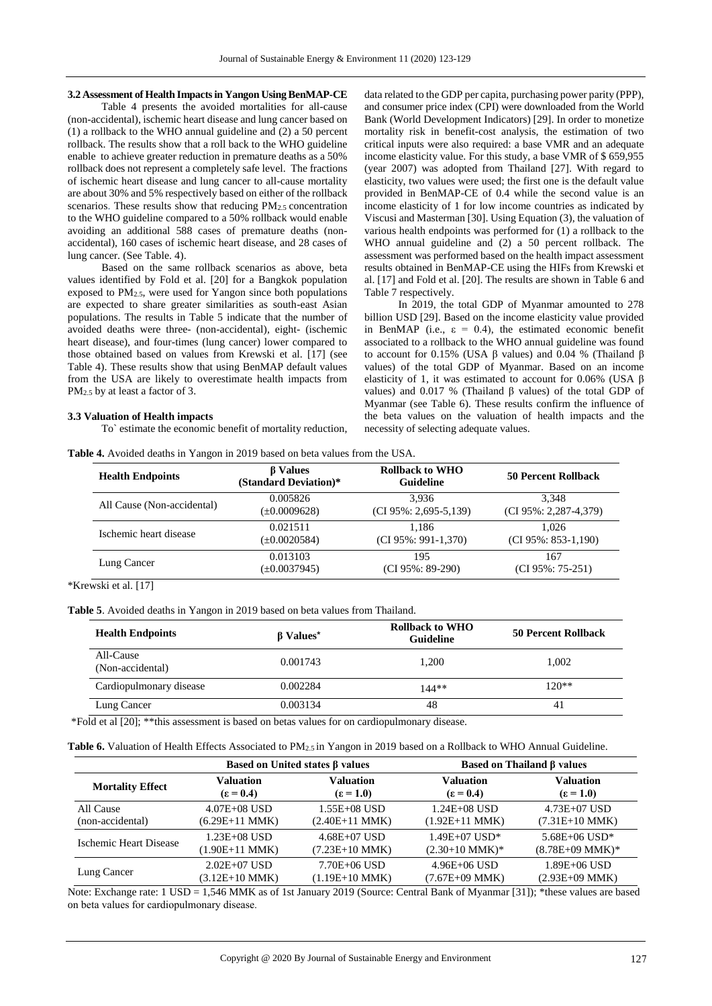## **3.2 Assessment of Health Impacts in Yangon Using BenMAP-CE**

Table 4 presents the avoided mortalities for all-cause (non-accidental), ischemic heart disease and lung cancer based on (1) a rollback to the WHO annual guideline and (2) a 50 percent rollback. The results show that a roll back to the WHO guideline enable to achieve greater reduction in premature deaths as a 50% rollback does not represent a completely safe level. The fractions of ischemic heart disease and lung cancer to all-cause mortality are about 30% and 5% respectively based on either of the rollback scenarios. These results show that reducing PM<sub>2.5</sub> concentration to the WHO guideline compared to a 50% rollback would enable avoiding an additional 588 cases of premature deaths (nonaccidental), 160 cases of ischemic heart disease, and 28 cases of lung cancer. (See Table. 4).

Based on the same rollback scenarios as above, beta values identified by Fold et al. [20] for a Bangkok population exposed to PM2.5, were used for Yangon since both populations are expected to share greater similarities as south-east Asian populations. The results in Table 5 indicate that the number of avoided deaths were three- (non-accidental), eight- (ischemic heart disease), and four-times (lung cancer) lower compared to those obtained based on values from Krewski et al. [17] (see Table 4). These results show that using BenMAP default values from the USA are likely to overestimate health impacts from PM2.5 by at least a factor of 3.

## data related to the GDP per capita, purchasing power parity (PPP), and consumer price index (CPI) were downloaded from the World Bank (World Development Indicators) [29]. In order to monetize mortality risk in benefit-cost analysis, the estimation of two critical inputs were also required: a base VMR and an adequate income elasticity value. For this study, a base VMR of \$ 659,955 (year 2007) was adopted from Thailand [27]. With regard to elasticity, two values were used; the first one is the default value provided in BenMAP-CE of 0.4 while the second value is an income elasticity of 1 for low income countries as indicated by Viscusi and Masterman [30]. Using Equation (3), the valuation of various health endpoints was performed for (1) a rollback to the WHO annual guideline and (2) a 50 percent rollback. The assessment was performed based on the health impact assessment results obtained in BenMAP-CE using the HIFs from Krewski et al. [17] and Fold et al. [20]. The results are shown in Table 6 and Table 7 respectively.

In 2019, the total GDP of Myanmar amounted to 278 billion USD [29]. Based on the income elasticity value provided in BenMAP (i.e.,  $\varepsilon = 0.4$ ), the estimated economic benefit associated to a rollback to the WHO annual guideline was found to account for 0.15% (USA β values) and 0.04 % (Thailand β values) of the total GDP of Myanmar. Based on an income elasticity of 1, it was estimated to account for 0.06% (USA  $\beta$ values) and 0.017 % (Thailand β values) of the total GDP of Myanmar (see Table 6). These results confirm the influence of the beta values on the valuation of health impacts and the necessity of selecting adequate values.

## **3.3 Valuation of Health impacts**

To` estimate the economic benefit of mortality reduction,

**Table 4.** Avoided deaths in Yangon in 2019 based on beta values from the USA.

| <b>Health Endpoints</b>    | <b>B</b> Values<br>(Standard Deviation)* | <b>Rollback to WHO</b><br>Guideline | 50 Percent Rollback       |
|----------------------------|------------------------------------------|-------------------------------------|---------------------------|
| All Cause (Non-accidental) | 0.005826                                 | 3.936                               | 3.348                     |
|                            | (±0.0009628)                             | $(CI 95\% : 2,695-5,139)$           | $(CI 95\% : 2,287-4,379)$ |
| Ischemic heart disease     | 0.021511                                 | 1.186                               | 1.026                     |
|                            | $(\pm 0.0020584)$                        | $(CI 95\% : 991-1,370)$             | $(CI 95\% : 853-1,190)$   |
| Lung Cancer                | 0.013103                                 | 195                                 | 167                       |
|                            | $(\pm 0.0037945)$                        | $(CI 95\% : 89-290)$                | $(CI 95\%: 75-251)$       |

\*Krewski et al. [17]

**Table 5**. Avoided deaths in Yangon in 2019 based on beta values from Thailand.

| <b>Health Endpoints</b>       | β Values <sup>*</sup> | <b>Rollback to WHO</b><br><b>Guideline</b> | 50 Percent Rollback |
|-------------------------------|-----------------------|--------------------------------------------|---------------------|
| All-Cause<br>(Non-accidental) | 0.001743              | 1.200                                      | 1.002               |
| Cardiopulmonary disease       | 0.002284              | $144**$                                    | $120**$             |
| Lung Cancer                   | 0.003134              | 48                                         | 41                  |

\*Fold et al [20]; \*\*this assessment is based on betas values for on cardiopulmonary disease.

|  |  |  |  |  |  | <b>Table 6.</b> Valuation of Health Effects Associated to $PM_{2.5}$ in Yangon in 2019 based on a Rollback to WHO Annual Guideline. |
|--|--|--|--|--|--|-------------------------------------------------------------------------------------------------------------------------------------|
|--|--|--|--|--|--|-------------------------------------------------------------------------------------------------------------------------------------|

|                         | Based on United states β values |                    |                      | Based on Thailand $\beta$ values |
|-------------------------|---------------------------------|--------------------|----------------------|----------------------------------|
| <b>Mortality Effect</b> | <b>Valuation</b>                | <b>Valuation</b>   | <b>Valuation</b>     | <b>Valuation</b>                 |
|                         | $\epsilon = 0.4$                | $(\epsilon = 1.0)$ | $\epsilon = 0.4$     | $\epsilon = 1.0$                 |
| All Cause               | $4.07E + 08$ USD                | 1.55E+08 USD       | $1.24E + 08$ USD     | 4.73E+07 USD                     |
| (non-accidental)        | $(6.29E+11$ MMK)                | $(2.40E+11$ MMK)   | $(1.92E+11$ MMK)     | $(7.31E+10$ MMK)                 |
| Ischemic Heart Disease  | $1.23E+08$ USD                  | $4.68E + 07$ USD   | $1.49E+07$ USD*      | $5.68E + 06$ USD*                |
|                         | $(1.90E+11$ MMK)                | $(7.23E+10$ MMK)   | $(2.30+10$ MMK $)^*$ | $(8.78E+09$ MMK $)^*$            |
| Lung Cancer             | $2.02E+07$ USD                  | 7.70E+06 USD       | $4.96E + 06$ USD     | $1.89E+06$ USD                   |
|                         | $(3.12E+10$ MMK)                | $(1.19E+10$ MMK)   | $(7.67E+09$ MMK)     | $(2.93E+09$ MMK)                 |

Note: Exchange rate: 1 USD = 1,546 MMK as of 1st January 2019 (Source: Central Bank of Myanmar [31]); \*these values are based on beta values for cardiopulmonary disease.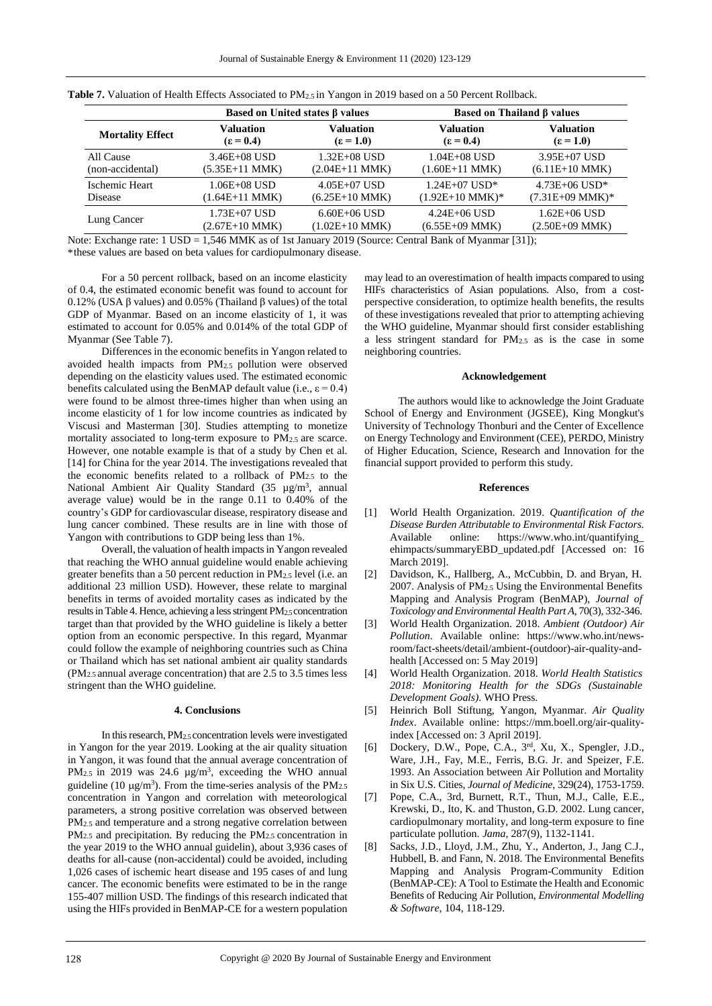| Based on United states β values |                  |                  | Based on Thailand B values |                   |  |  |
|---------------------------------|------------------|------------------|----------------------------|-------------------|--|--|
| <b>Mortality Effect</b>         | <b>Valuation</b> | <b>Valuation</b> | <b>Valuation</b>           | <b>Valuation</b>  |  |  |
|                                 | $\epsilon = 0.4$ | $\epsilon = 1.0$ | $(\epsilon = 0.4)$         | $\epsilon = 1.0$  |  |  |
| All Cause                       | 3.46E+08 USD     | $1.32E + 08$ USD | $1.04E + 08$ USD           | $3.95E+07$ USD    |  |  |
| (non-accidental)                | $(5.35E+11$ MMK) | $(2.04E+11$ MMK) | $(1.60E+11$ MMK)           | $(6.11E+10$ MMK)  |  |  |
| Ischemic Heart                  | $1.06E+08$ USD   | $4.05E+07$ USD   | $1.24E+07$ USD*            | $4.73E+06$ USD*   |  |  |
| <b>Disease</b>                  | $(1.64E+11$ MMK) | $(6.25E+10$ MMK) | $(1.92E+10$ MMK $)*$       | $(7.31E+09$ MMK)* |  |  |
| Lung Cancer                     | 1.73E+07 USD     | $6.60E + 06$ USD | $4.24E + 06$ USD           | $1.62E+06$ USD    |  |  |
|                                 | $(2.67E+10$ MMK) | $(1.02E+10$ MMK) | $(6.55E+09$ MMK)           | $(2.50E+09$ MMK)  |  |  |

|  | <b>Table 7.</b> Valuation of Health Effects Associated to PM <sub>2.5</sub> in Yangon in 2019 based on a 50 Percent Rollback. |  |  |  |  |  |
|--|-------------------------------------------------------------------------------------------------------------------------------|--|--|--|--|--|
|--|-------------------------------------------------------------------------------------------------------------------------------|--|--|--|--|--|

Note: Exchange rate: 1 USD = 1,546 MMK as of 1st January 2019 (Source: Central Bank of Myanmar [31]); \*these values are based on beta values for cardiopulmonary disease.

For a 50 percent rollback, based on an income elasticity of 0.4, the estimated economic benefit was found to account for 0.12% (USA β values) and 0.05% (Thailand β values) of the total GDP of Myanmar. Based on an income elasticity of 1, it was estimated to account for 0.05% and 0.014% of the total GDP of Myanmar (See Table 7).

Differences in the economic benefits in Yangon related to avoided health impacts from PM2.5 pollution were observed depending on the elasticity values used. The estimated economic benefits calculated using the BenMAP default value (i.e.,  $\varepsilon = 0.4$ ) were found to be almost three-times higher than when using an income elasticity of 1 for low income countries as indicated by Viscusi and Masterman [30]. Studies attempting to monetize mortality associated to long-term exposure to PM2.5 are scarce. However, one notable example is that of a study by Chen et al. [14] for China for the year 2014. The investigations revealed that the economic benefits related to a rollback of PM2.5 to the National Ambient Air Quality Standard (35 µg/m<sup>3</sup>, annual average value) would be in the range 0.11 to 0.40% of the country's GDP for cardiovascular disease, respiratory disease and lung cancer combined. These results are in line with those of Yangon with contributions to GDP being less than 1%.

Overall, the valuation of health impacts in Yangon revealed that reaching the WHO annual guideline would enable achieving greater benefits than a 50 percent reduction in PM2.5 level (i.e. an additional 23 million USD). However, these relate to marginal benefits in terms of avoided mortality cases as indicated by the results in Table 4. Hence, achieving a less stringent PM2.5 concentration target than that provided by the WHO guideline is likely a better option from an economic perspective. In this regard, Myanmar could follow the example of neighboring countries such as China or Thailand which has set national ambient air quality standards (PM2.5 annual average concentration) that are 2.5 to 3.5 times less stringent than the WHO guideline.

# **4. Conclusions**

In this research, PM2.5 concentration levels were investigated in Yangon for the year 2019. Looking at the air quality situation in Yangon, it was found that the annual average concentration of PM<sub>2.5</sub> in 2019 was 24.6  $\mu$ g/m<sup>3</sup>, exceeding the WHO annual guideline (10  $\mu$ g/m<sup>3</sup>). From the time-series analysis of the PM<sub>2.5</sub> concentration in Yangon and correlation with meteorological parameters, a strong positive correlation was observed between PM2.5 and temperature and a strong negative correlation between PM<sub>2.5</sub> and precipitation. By reducing the PM<sub>2.5</sub> concentration in the year 2019 to the WHO annual guidelin), about 3,936 cases of deaths for all-cause (non-accidental) could be avoided, including 1,026 cases of ischemic heart disease and 195 cases of and lung cancer. The economic benefits were estimated to be in the range 155-407 million USD. The findings of this research indicated that using the HIFs provided in BenMAP-CE for a western population

may lead to an overestimation of health impacts compared to using HIFs characteristics of Asian populations. Also, from a costperspective consideration, to optimize health benefits, the results of these investigations revealed that prior to attempting achieving the WHO guideline, Myanmar should first consider establishing a less stringent standard for PM2.5 as is the case in some neighboring countries.

## **Acknowledgement**

The authors would like to acknowledge the Joint Graduate School of Energy and Environment (JGSEE), King Mongkut's University of Technology Thonburi and the Center of Excellence on Energy Technology and Environment (CEE), PERDO, Ministry of Higher Education, Science, Research and Innovation for the financial support provided to perform this study.

#### **References**

- [1] World Health Organization. 2019. *Quantification of the Disease Burden Attributable to Environmental Risk Factors*. Available online: https://www.who.int/quantifying\_ ehimpacts/summaryEBD\_updated.pdf [Accessed on: 16 March 2019].
- [2] Davidson, K., Hallberg, A., McCubbin, D. and Bryan, H. 2007. Analysis of PM2.5 Using the Environmental Benefits Mapping and Analysis Program (BenMAP), *Journal of Toxicology and Environmental Health Part A*, 70(3), 332-346.
- [3] World Health Organization. 2018. *Ambient (Outdoor) Air Pollution*. Available online: https://www.who.int/newsroom/fact-sheets/detail/ambient-(outdoor)-air-quality-andhealth [Accessed on: 5 May 2019]
- [4] World Health Organization. 2018. *World Health Statistics 2018: Monitoring Health for the SDGs (Sustainable Development Goals)*. WHO Press.
- [5] Heinrich Boll Stiftung, Yangon, Myanmar. *Air Quality Index*. Available online: https://mm.boell.org/air-qualityindex [Accessed on: 3 April 2019].
- [6] Dockery, D.W., Pope, C.A., 3rd, Xu, X., Spengler, J.D., Ware, J.H., Fay, M.E., Ferris, B.G. Jr. and Speizer, F.E. 1993. An Association between Air Pollution and Mortality in Six U.S. Cities, *Journal of Medicine*, 329(24), 1753-1759.
- [7] Pope, C.A., 3rd, Burnett, R.T., Thun, M.J., Calle, E.E., Krewski, D., Ito, K. and Thuston, G.D. 2002. Lung cancer, cardiopulmonary mortality, and long-term exposure to fine particulate pollution. *Jama*, 287(9), 1132-1141.
- [8] Sacks, J.D., Lloyd, J.M., Zhu, Y., Anderton, J., Jang C.J., Hubbell, B. and Fann, N. 2018. The Environmental Benefits Mapping and Analysis Program-Community Edition (BenMAP-CE): A Tool to Estimate the Health and Economic Benefits of Reducing Air Pollution, *Environmental Modelling & Software*, 104, 118-129.